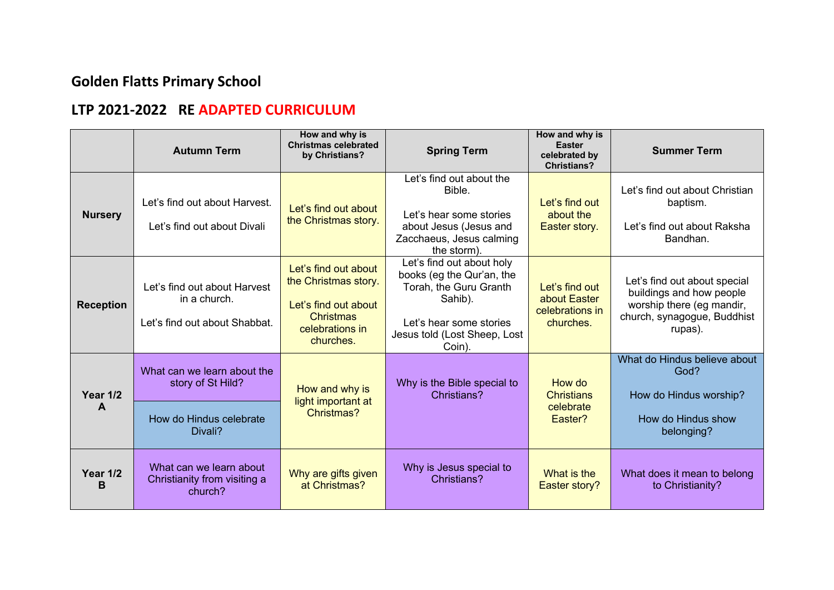## **Golden Flatts Primary School**

## **LTP 2021-2022 RE ADAPTED CURRICULUM**

|                      | <b>Autumn Term</b>                                                                     | How and why is<br><b>Christmas celebrated</b><br>by Christians?                                                   | <b>Spring Term</b>                                                                                                                                               | How and why is<br><b>Easter</b><br>celebrated by<br><b>Christians?</b> | <b>Summer Term</b>                                                                                                              |
|----------------------|----------------------------------------------------------------------------------------|-------------------------------------------------------------------------------------------------------------------|------------------------------------------------------------------------------------------------------------------------------------------------------------------|------------------------------------------------------------------------|---------------------------------------------------------------------------------------------------------------------------------|
| <b>Nursery</b>       | Let's find out about Harvest.<br>Let's find out about Divali                           | Let's find out about<br>the Christmas story.                                                                      | Let's find out about the<br>Bible.<br>Let's hear some stories<br>about Jesus (Jesus and<br>Zacchaeus, Jesus calming<br>the storm).                               | Let's find out<br>about the<br>Easter story.                           | Let's find out about Christian<br>baptism.<br>Let's find out about Raksha<br>Bandhan.                                           |
| <b>Reception</b>     | Let's find out about Harvest<br>in a church.<br>Let's find out about Shabbat.          | Let's find out about<br>the Christmas story.<br>Let's find out about<br>Christmas<br>celebrations in<br>churches. | Let's find out about holy<br>books (eg the Qur'an, the<br>Torah, the Guru Granth<br>Sahib).<br>Let's hear some stories<br>Jesus told (Lost Sheep, Lost<br>Coin). | Let's find out<br>about Easter<br>celebrations in<br>churches.         | Let's find out about special<br>buildings and how people<br>worship there (eg mandir,<br>church, synagogue, Buddhist<br>rupas). |
| Year 1/2<br>A        | What can we learn about the<br>story of St Hild?<br>How do Hindus celebrate<br>Divali? | How and why is<br>light important at<br>Christmas?                                                                | Why is the Bible special to<br>Christians?                                                                                                                       | How do<br><b>Christians</b><br>celebrate<br>Easter?                    | What do Hindus believe about<br>God?<br>How do Hindus worship?<br>How do Hindus show<br>belonging?                              |
| <b>Year 1/2</b><br>B | What can we learn about<br>Christianity from visiting a<br>church?                     | Why are gifts given<br>at Christmas?                                                                              | Why is Jesus special to<br>Christians?                                                                                                                           | What is the<br>Easter story?                                           | What does it mean to belong<br>to Christianity?                                                                                 |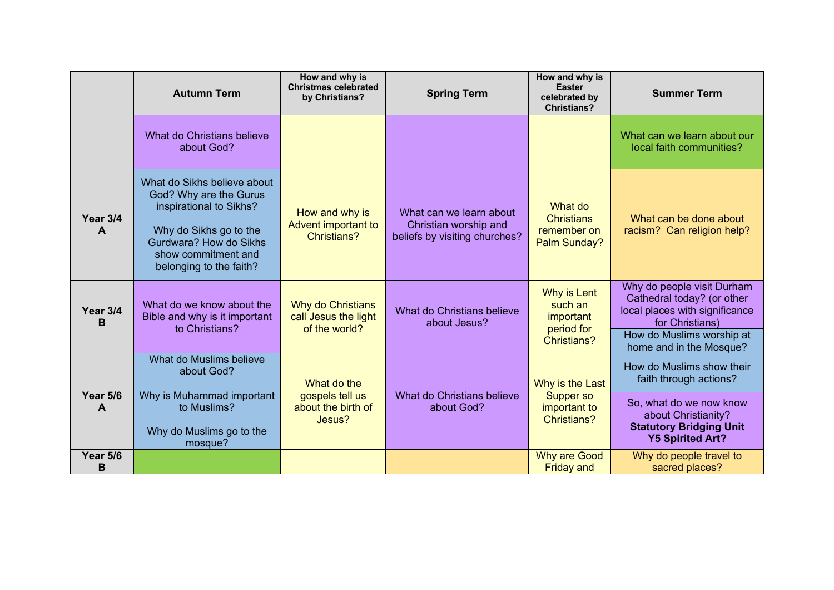|                      | <b>Autumn Term</b>                                                                                                                                                                     | How and why is<br><b>Christmas celebrated</b><br>by Christians?   | <b>Spring Term</b>                                                                | How and why is<br><b>Easter</b><br>celebrated by<br><b>Christians?</b>  | <b>Summer Term</b>                                                                                                                                                    |
|----------------------|----------------------------------------------------------------------------------------------------------------------------------------------------------------------------------------|-------------------------------------------------------------------|-----------------------------------------------------------------------------------|-------------------------------------------------------------------------|-----------------------------------------------------------------------------------------------------------------------------------------------------------------------|
|                      | What do Christians believe<br>about God?                                                                                                                                               |                                                                   |                                                                                   |                                                                         | What can we learn about our<br>local faith communities?                                                                                                               |
| <b>Year 3/4</b><br>A | What do Sikhs believe about<br>God? Why are the Gurus<br>inspirational to Sikhs?<br>Why do Sikhs go to the<br>Gurdwara? How do Sikhs<br>show commitment and<br>belonging to the faith? | How and why is<br>Advent important to<br><b>Christians?</b>       | What can we learn about<br>Christian worship and<br>beliefs by visiting churches? | What do<br><b>Christians</b><br>remember on<br>Palm Sunday?             | What can be done about<br>racism? Can religion help?                                                                                                                  |
| Year 3/4<br>B        | What do we know about the<br>Bible and why is it important<br>to Christians?                                                                                                           | <b>Why do Christians</b><br>call Jesus the light<br>of the world? | What do Christians believe<br>about Jesus?                                        | Why is Lent<br>such an<br>important<br>period for<br><b>Christians?</b> | Why do people visit Durham<br>Cathedral today? (or other<br>local places with significance<br>for Christians)<br>How do Muslims worship at<br>home and in the Mosque? |
| Year 5/6<br>A        | What do Muslims believe<br>about God?<br>Why is Muhammad important<br>to Muslims?<br>Why do Muslims go to the<br>mosque?                                                               | What do the<br>gospels tell us<br>about the birth of<br>Jesus?    | What do Christians believe<br>about God?                                          | Why is the Last<br>Supper so<br>important to<br><b>Christians?</b>      | How do Muslims show their<br>faith through actions?<br>So, what do we now know<br>about Christianity?<br><b>Statutory Bridging Unit</b><br><b>Y5 Spirited Art?</b>    |
| Year 5/6<br>B        |                                                                                                                                                                                        |                                                                   |                                                                                   | <b>Why are Good</b><br><b>Friday and</b>                                | Why do people travel to<br>sacred places?                                                                                                                             |